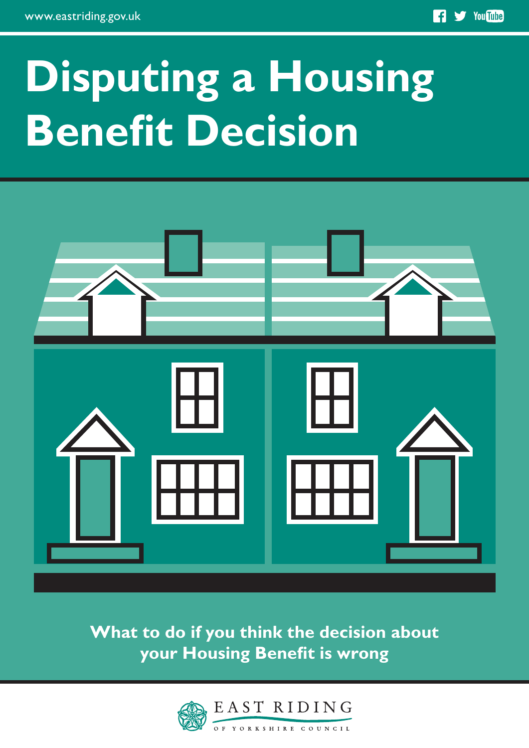# **Disputing a Housing Benefit Decision**



**What to do if you think the decision about your Housing Benefit is wrong**

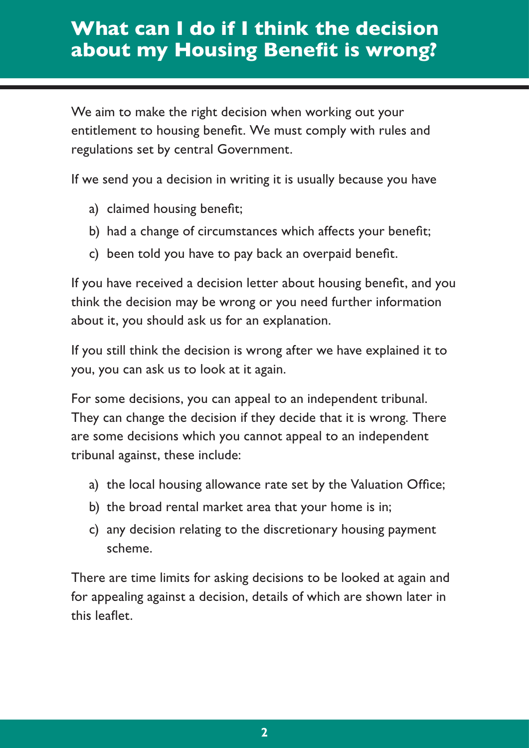# **What can I do if I think the decision about my Housing Benefit is wrong?**

We aim to make the right decision when working out your entitlement to housing benefit. We must comply with rules and regulations set by central Government.

If we send you a decision in writing it is usually because you have

- a) claimed housing benefit;
- b) had a change of circumstances which affects your benefit;
- c) been told you have to pay back an overpaid benefit.

If you have received a decision letter about housing benefit, and you think the decision may be wrong or you need further information about it, you should ask us for an explanation.

If you still think the decision is wrong after we have explained it to you, you can ask us to look at it again.

For some decisions, you can appeal to an independent tribunal. They can change the decision if they decide that it is wrong. There are some decisions which you cannot appeal to an independent tribunal against, these include:

- a) the local housing allowance rate set by the Valuation Office;
- b) the broad rental market area that your home is in;
- c) any decision relating to the discretionary housing payment scheme.

There are time limits for asking decisions to be looked at again and for appealing against a decision, details of which are shown later in this leaflet.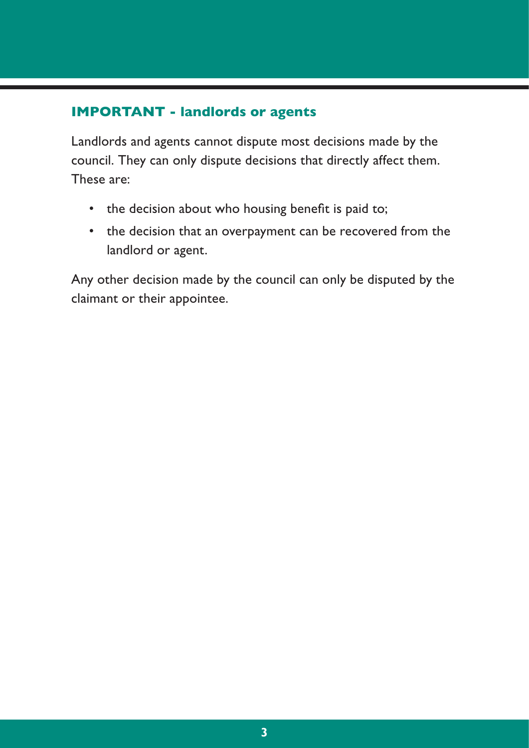#### **IMPORTANT - landlords or agents**

Landlords and agents cannot dispute most decisions made by the council. They can only dispute decisions that directly affect them. These are:

- the decision about who housing benefit is paid to;
- the decision that an overpayment can be recovered from the landlord or agent.

Any other decision made by the council can only be disputed by the claimant or their appointee.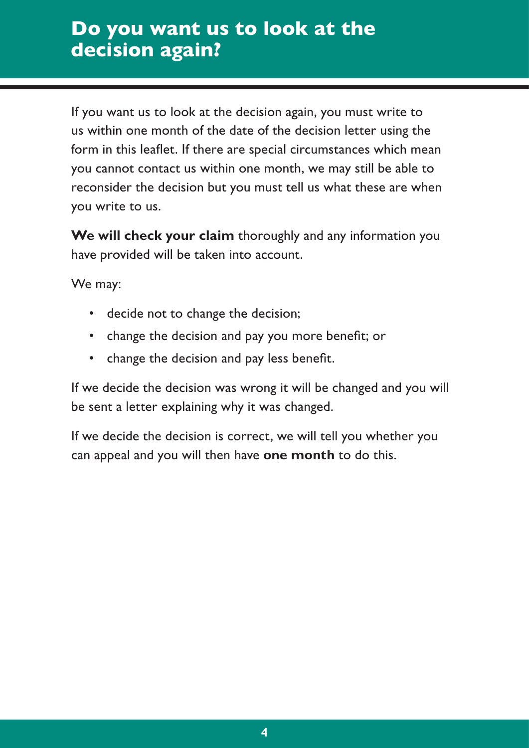# **Do you want us to look at the decision again?**

If you want us to look at the decision again, you must write to us within one month of the date of the decision letter using the form in this leaflet. If there are special circumstances which mean you cannot contact us within one month, we may still be able to reconsider the decision but you must tell us what these are when you write to us.

**We will check your claim** thoroughly and any information you have provided will be taken into account.

We may:

- decide not to change the decision;
- change the decision and pay you more benefit; or
- change the decision and pay less benefit.

If we decide the decision was wrong it will be changed and you will be sent a letter explaining why it was changed.

If we decide the decision is correct, we will tell you whether you can appeal and you will then have **one month** to do this.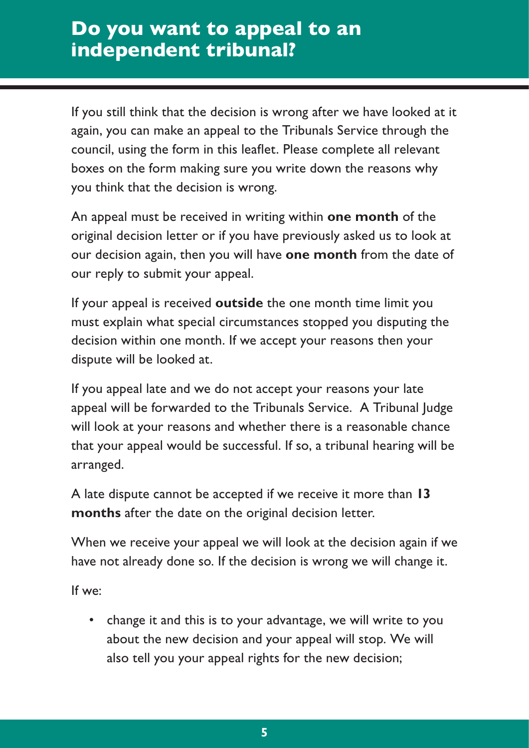# **Do you want to appeal to an independent tribunal?**

If you still think that the decision is wrong after we have looked at it again, you can make an appeal to the Tribunals Service through the council, using the form in this leaflet. Please complete all relevant boxes on the form making sure you write down the reasons why you think that the decision is wrong.

An appeal must be received in writing within **one month** of the original decision letter or if you have previously asked us to look at our decision again, then you will have **one month** from the date of our reply to submit your appeal.

If your appeal is received **outside** the one month time limit you must explain what special circumstances stopped you disputing the decision within one month. If we accept your reasons then your dispute will be looked at.

If you appeal late and we do not accept your reasons your late appeal will be forwarded to the Tribunals Service. A Tribunal Judge will look at your reasons and whether there is a reasonable chance that your appeal would be successful. If so, a tribunal hearing will be arranged.

A late dispute cannot be accepted if we receive it more than **13 months** after the date on the original decision letter.

When we receive your appeal we will look at the decision again if we have not already done so. If the decision is wrong we will change it.

If we:

• change it and this is to your advantage, we will write to you about the new decision and your appeal will stop. We will also tell you your appeal rights for the new decision;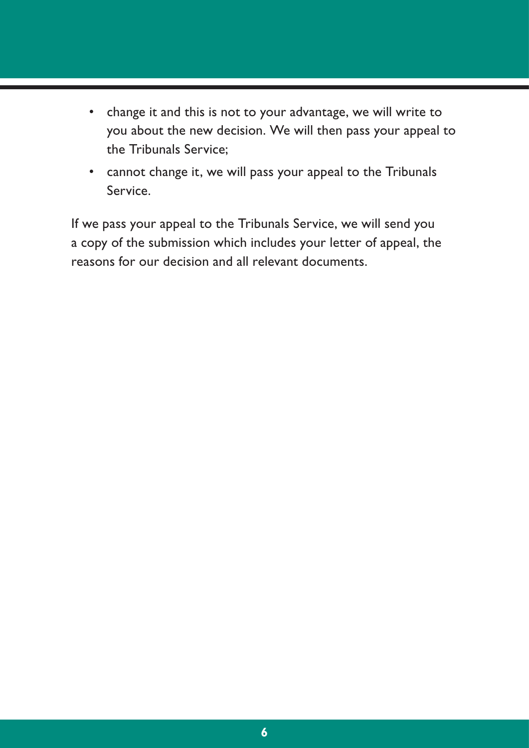- change it and this is not to your advantage, we will write to you about the new decision. We will then pass your appeal to the Tribunals Service;
- cannot change it, we will pass your appeal to the Tribunals Service.

If we pass your appeal to the Tribunals Service, we will send you a copy of the submission which includes your letter of appeal, the reasons for our decision and all relevant documents.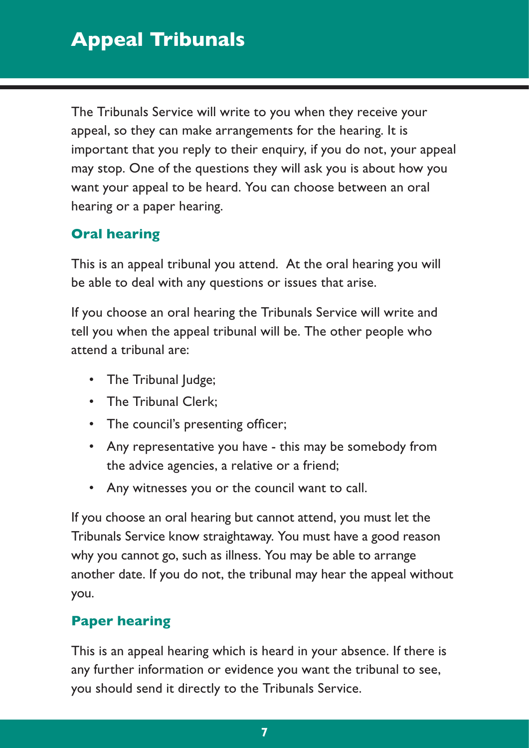The Tribunals Service will write to you when they receive your appeal, so they can make arrangements for the hearing. It is important that you reply to their enquiry, if you do not, your appeal may stop. One of the questions they will ask you is about how you want your appeal to be heard. You can choose between an oral hearing or a paper hearing.

# **Oral hearing**

This is an appeal tribunal you attend. At the oral hearing you will be able to deal with any questions or issues that arise.

If you choose an oral hearing the Tribunals Service will write and tell you when the appeal tribunal will be. The other people who attend a tribunal are:

- The Tribunal Judge;
- The Tribunal Clerk;
- The council's presenting officer;
- Any representative you have this may be somebody from the advice agencies, a relative or a friend;
- Any witnesses you or the council want to call.

If you choose an oral hearing but cannot attend, you must let the Tribunals Service know straightaway. You must have a good reason why you cannot go, such as illness. You may be able to arrange another date. If you do not, the tribunal may hear the appeal without you.

## **Paper hearing**

This is an appeal hearing which is heard in your absence. If there is any further information or evidence you want the tribunal to see, you should send it directly to the Tribunals Service.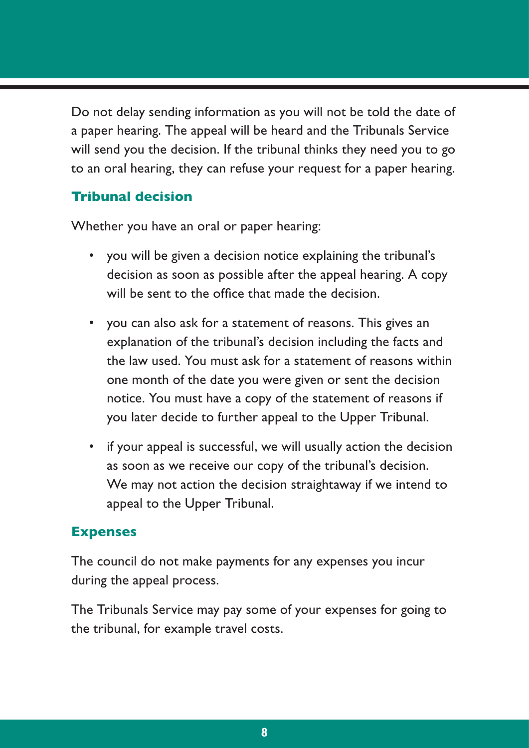Do not delay sending information as you will not be told the date of a paper hearing. The appeal will be heard and the Tribunals Service will send you the decision. If the tribunal thinks they need you to go to an oral hearing, they can refuse your request for a paper hearing.

#### **Tribunal decision**

Whether you have an oral or paper hearing:

- you will be given a decision notice explaining the tribunal's decision as soon as possible after the appeal hearing. A copy will be sent to the office that made the decision.
- you can also ask for a statement of reasons. This gives an explanation of the tribunal's decision including the facts and the law used. You must ask for a statement of reasons within one month of the date you were given or sent the decision notice. You must have a copy of the statement of reasons if you later decide to further appeal to the Upper Tribunal.
- if your appeal is successful, we will usually action the decision as soon as we receive our copy of the tribunal's decision. We may not action the decision straightaway if we intend to appeal to the Upper Tribunal.

#### **Expenses**

The council do not make payments for any expenses you incur during the appeal process.

The Tribunals Service may pay some of your expenses for going to the tribunal, for example travel costs.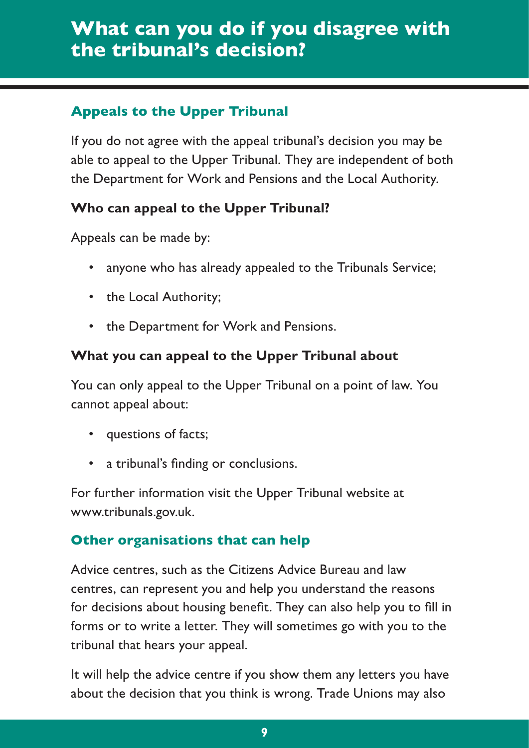# **What can you do if you disagree with the tribunal's decision?**

## **Appeals to the Upper Tribunal**

If you do not agree with the appeal tribunal's decision you may be able to appeal to the Upper Tribunal. They are independent of both the Department for Work and Pensions and the Local Authority.

### **Who can appeal to the Upper Tribunal?**

Appeals can be made by:

- anyone who has already appealed to the Tribunals Service;
- the Local Authority;
- the Department for Work and Pensions.

## **What you can appeal to the Upper Tribunal about**

You can only appeal to the Upper Tribunal on a point of law. You cannot appeal about:

- questions of facts;
- a tribunal's finding or conclusions.

For further information visit the Upper Tribunal website at www.tribunals.gov.uk.

## **Other organisations that can help**

Advice centres, such as the Citizens Advice Bureau and law centres, can represent you and help you understand the reasons for decisions about housing benefit. They can also help you to fill in forms or to write a letter. They will sometimes go with you to the tribunal that hears your appeal.

It will help the advice centre if you show them any letters you have about the decision that you think is wrong. Trade Unions may also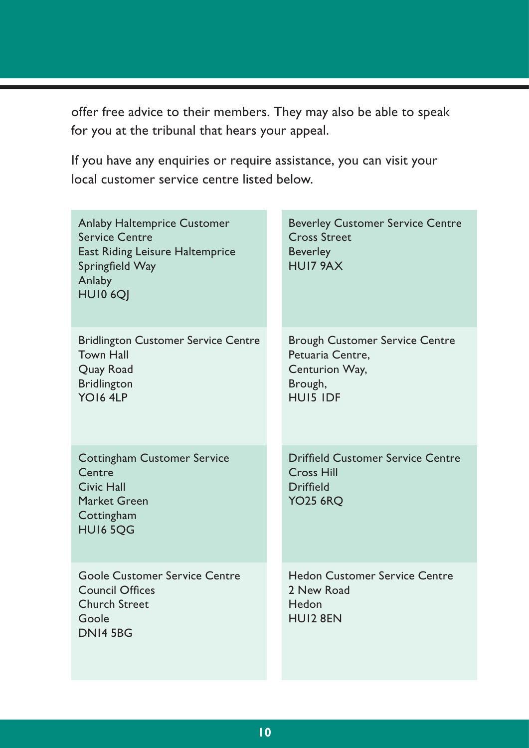offer free advice to their members. They may also be able to speak for you at the tribunal that hears your appeal.

If you have any enquiries or require assistance, you can visit your local customer service centre listed below.

| Anlaby Haltemprice Customer<br><b>Service Centre</b><br>East Riding Leisure Haltemprice<br>Springfield Way<br>Anlaby<br>HUI0 6QJ | <b>Beverley Customer Service Centre</b><br><b>Cross Street</b><br><b>Beverley</b><br>HUI7 9AX             |
|----------------------------------------------------------------------------------------------------------------------------------|-----------------------------------------------------------------------------------------------------------|
| <b>Bridlington Customer Service Centre</b><br><b>Town Hall</b><br>Quay Road<br><b>Bridlington</b><br>YO16 4LP                    | <b>Brough Customer Service Centre</b><br>Petuaria Centre.<br>Centurion Way,<br>Brough,<br><b>HUIS IDF</b> |
| Cottingham Customer Service<br>Centre<br>Civic Hall<br>Market Green<br>Cottingham<br><b>HUI6 5OG</b>                             | Driffield Customer Service Centre<br>Cross Hill<br><b>Driffield</b><br><b>YO25 6RQ</b>                    |
| Goole Customer Service Centre<br>Council Offices<br>Church Street<br>Goole<br>DNI4 5BG                                           | <b>Hedon Customer Service Centre</b><br>2 New Road<br>Hedon<br>HUI2 8EN                                   |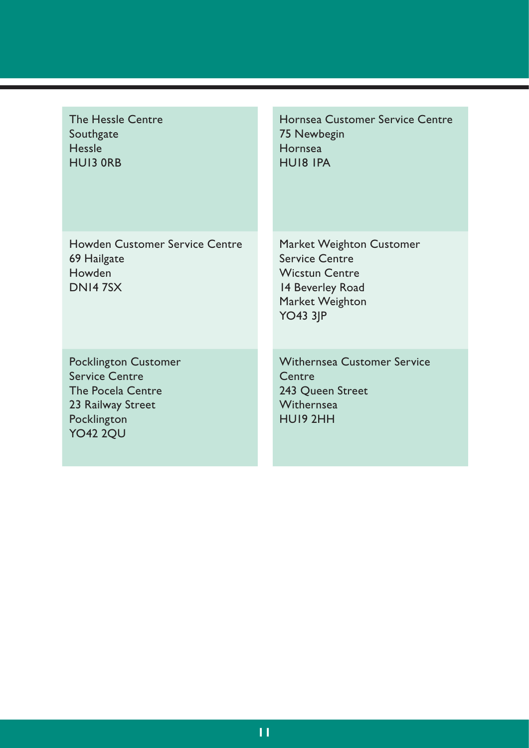| The Hessle Centre<br>Southgate<br>Hessle<br><b>HUI3 ORB</b>                                                               | Hornsea Customer Service Centre<br>75 Newbegin<br>Hornsea<br>HUI8 IPA                                                           |
|---------------------------------------------------------------------------------------------------------------------------|---------------------------------------------------------------------------------------------------------------------------------|
| Howden Customer Service Centre<br>69 Hailgate<br>Howden<br>DNI47SX                                                        | Market Weighton Customer<br><b>Service Centre</b><br><b>Wicstun Centre</b><br>14 Beverley Road<br>Market Weighton<br>$YO43$ 3JP |
| Pocklington Customer<br><b>Service Centre</b><br>The Pocela Centre<br>23 Railway Street<br>Pocklington<br><b>YO42 2QU</b> | <b>Withernsea Customer Service</b><br>Centre<br>243 Oueen Street<br>Withernsea<br>HUI9 2HH                                      |